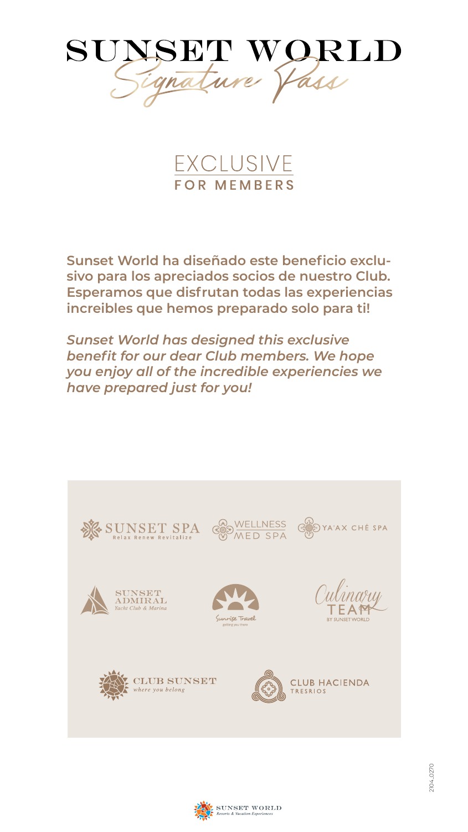

EXCLUSIVE **FOR MEMBERS** 

**Sunset World ha diseñado este beneficio exclusivo para los apreciados socios de nuestro Club. Esperamos que disfrutan todas las experiencias increibles que hemos preparado solo para ti!**

*Sunset World has designed this exclusive benefit for our dear Club members. We hope you enjoy all of the incredible experiencies we have prepared just for you!*

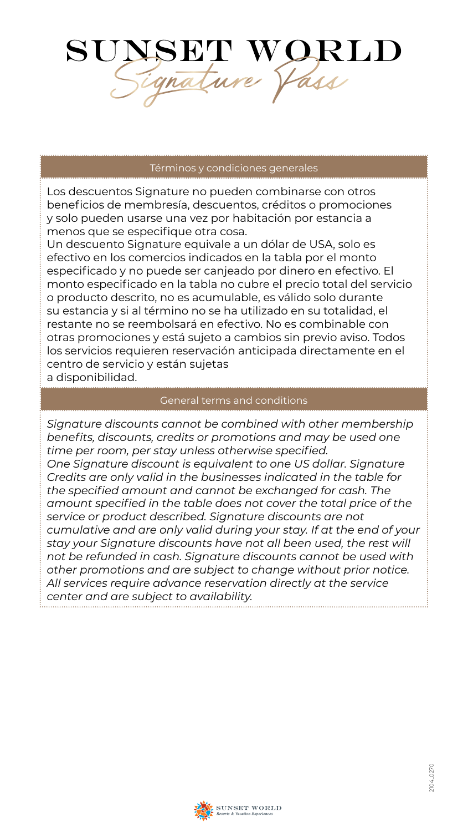

### Términos y condiciones generales

Los descuentos Signature no pueden combinarse con otros beneficios de membresía, descuentos, créditos o promociones y solo pueden usarse una vez por habitación por estancia a menos que se especifique otra cosa.

Un descuento Signature equivale a un dólar de USA, solo es efectivo en los comercios indicados en la tabla por el monto especificado y no puede ser canjeado por dinero en efectivo. El monto especificado en la tabla no cubre el precio total del servicio o producto descrito, no es acumulable, es válido solo durante su estancia y si al término no se ha utilizado en su totalidad, el restante no se reembolsará en efectivo. No es combinable con otras promociones y está sujeto a cambios sin previo aviso. Todos los servicios requieren reservación anticipada directamente en el centro de servicio y están sujetas a disponibilidad.

#### General terms and conditions

*Signature discounts cannot be combined with other membership benefits, discounts, credits or promotions and may be used one time per room, per stay unless otherwise specified. One Signature discount is equivalent to one US dollar. Signature Credits are only valid in the businesses indicated in the table for the specified amount and cannot be exchanged for cash. The amount specified in the table does not cover the total price of the service or product described. Signature discounts are not cumulative and are only valid during your stay. If at the end of your stay your Signature discounts have not all been used, the rest will not be refunded in cash. Signature discounts cannot be used with other promotions and are subject to change without prior notice. All services require advance reservation directly at the service center and are subject to availability.*

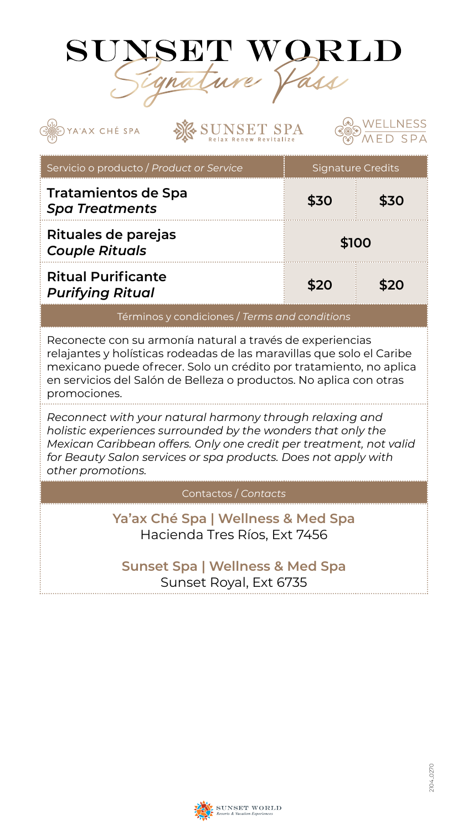

YA'AX CHÉ SPA

**VSET SPA** 

Servicio o producto / *Product or Service* Physics Signature Credits **Tratamientos de Spa**  *Spa Treatments* **\$30 \$30 Rituales de parejas**  *Couple Rituals* **\$100 Ritual Purificante** *Purifying Ritual* **\$20 \$20** Términos y condiciones / *Terms and conditions*

Reconecte con su armonía natural a través de experiencias relajantes y holísticas rodeadas de las maravillas que solo el Caribe mexicano puede ofrecer. Solo un crédito por tratamiento, no aplica en servicios del Salón de Belleza o productos. No aplica con otras promociones.

*Reconnect with your natural harmony through relaxing and holistic experiences surrounded by the wonders that only the Mexican Caribbean offers. Only one credit per treatment, not valid for Beauty Salon services or spa products. Does not apply with other promotions.*

Contactos / *Contacts*

**Ya'ax Ché Spa | Wellness & Med Spa** Hacienda Tres Ríos, Ext 7456

## **Sunset Spa | Wellness & Med Spa** Sunset Royal, Ext 6735



/ELLNESS

 $SDA$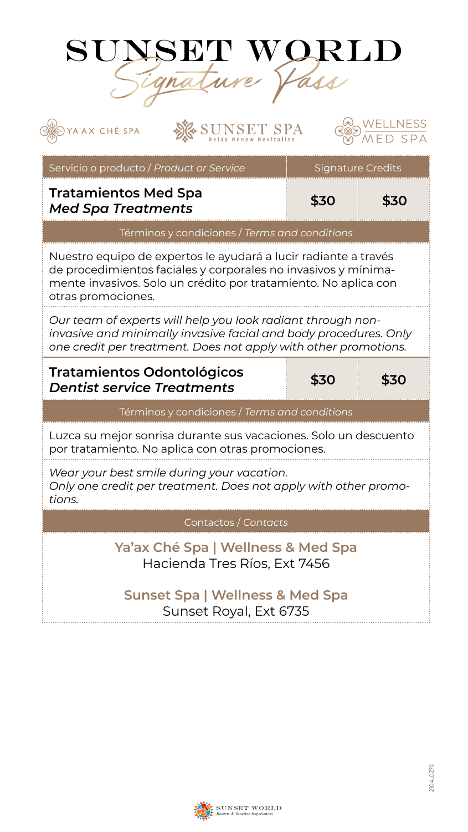

YA'AX CHÉ SPA

**ISET SPA** 

# $SDA$ FD. Servicio o producto / *Product or Service* Philosophia Signature Credits **Tratamientos Med Spa** *Med Spa Treatments* **\$30 \$30** Términos y condiciones / *Terms and conditions* Nuestro equipo de expertos le ayudará a lucir radiante a través de procedimientos faciales y corporales no invasivos y mínimamente invasivos. Solo un crédito por tratamiento. No aplica con otras promociones. *Our team of experts will help you look radiant through noninvasive and minimally invasive facial and body procedures. Only one credit per treatment. Does not apply with other promotions.* **Tratamientos Odontológicos** *Dentist service Treatments* **\$30 \$30** Términos y condiciones / *Terms and conditions* Luzca su mejor sonrisa durante sus vacaciones. Solo un descuento por tratamiento. No aplica con otras promociones. *Wear your best smile during your vacation. Only one credit per treatment. Does not apply with other promotions.* Contactos / *Contacts* **Ya'ax Ché Spa | Wellness & Med Spa** Hacienda Tres Ríos, Ext 7456

## **Sunset Spa | Wellness & Med Spa** Sunset Royal, Ext 6735



VELLNESS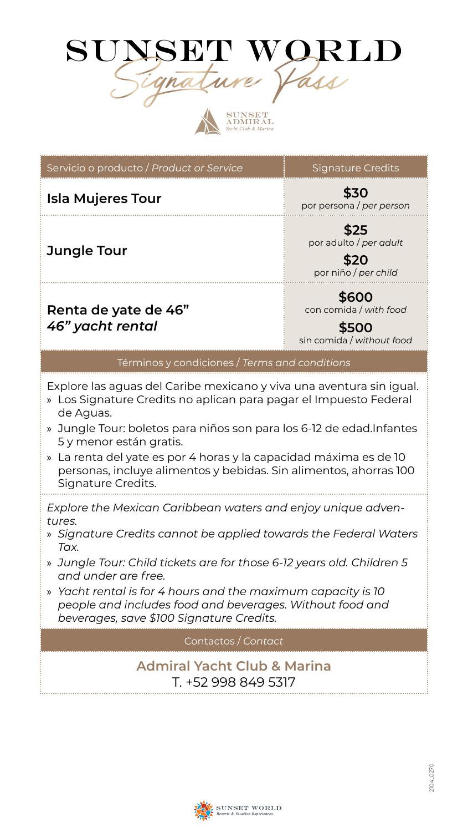# SUNSET WORLD Signature Pass



| Servicio o producto / Product or Service                                                                                                                                                                                                                                                                                                                                                                                   | Signature Credits                                                     |  |  |  |  |
|----------------------------------------------------------------------------------------------------------------------------------------------------------------------------------------------------------------------------------------------------------------------------------------------------------------------------------------------------------------------------------------------------------------------------|-----------------------------------------------------------------------|--|--|--|--|
| <b>Isla Mujeres Tour</b>                                                                                                                                                                                                                                                                                                                                                                                                   | \$30<br>por persona / per person                                      |  |  |  |  |
| <b>Jungle Tour</b>                                                                                                                                                                                                                                                                                                                                                                                                         | \$25<br>por adulto / per adult<br>\$20<br>por niño / per child        |  |  |  |  |
| Renta de yate de 46"<br>46" yacht rental                                                                                                                                                                                                                                                                                                                                                                                   | \$600<br>con comida / with food<br>\$500<br>sin comida / without food |  |  |  |  |
| Términos y condiciones / Terms and conditions                                                                                                                                                                                                                                                                                                                                                                              |                                                                       |  |  |  |  |
| Explore las aguas del Caribe mexicano y viva una aventura sin igual.<br>» Los Signature Credits no aplican para pagar el Impuesto Federal<br>de Aguas.<br>» Jungle Tour: boletos para niños son para los 6-12 de edad. Infantes<br>5 y menor están gratis.<br>» La renta del yate es por 4 horas y la capacidad máxima es de 10<br>personas, incluye alimentos y bebidas. Sin alimentos, ahorras 100<br>Signature Credits. |                                                                       |  |  |  |  |
| Explore the Mexican Caribbean waters and enjoy unique adven-<br>tures.<br>» Signature Credits cannot be applied towards the Federal Waters<br>Tax.<br>» Jungle Tour: Child tickets are for those 6-12 years old. Children 5<br>and under are free.<br>» Yacht rental is for 4 hours and the maximum capacity is 10<br>people and includes food and beverages. Without food and<br>beverages, save \$100 Signature Credits. |                                                                       |  |  |  |  |
| Contactos / Contact                                                                                                                                                                                                                                                                                                                                                                                                        |                                                                       |  |  |  |  |
| <b>Admiral Yacht Club &amp; Marina</b><br>T. +52 998 849 5317                                                                                                                                                                                                                                                                                                                                                              |                                                                       |  |  |  |  |

÷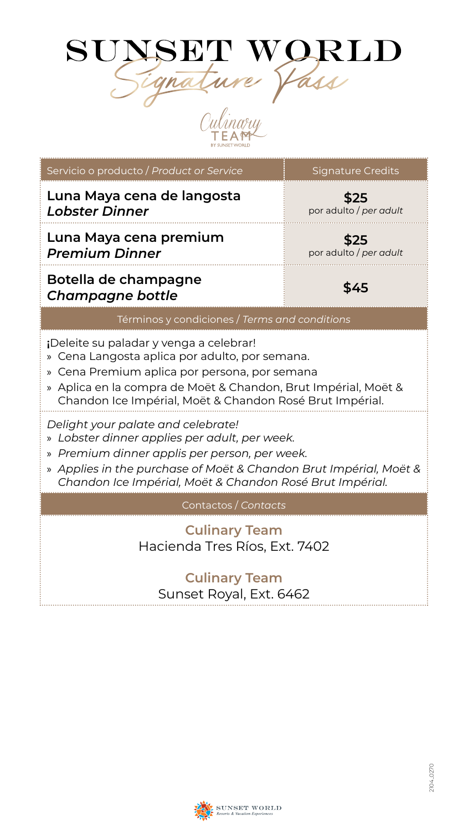

Culinary

**The Company's Company's** 

| Servicio o producto / Product or Service                                                                                                                                                                                                                                 | <b>Signature Credits</b>       |  |  |  |  |
|--------------------------------------------------------------------------------------------------------------------------------------------------------------------------------------------------------------------------------------------------------------------------|--------------------------------|--|--|--|--|
| Luna Maya cena de langosta<br><b>Lobster Dinner</b>                                                                                                                                                                                                                      | \$25<br>por adulto / per adult |  |  |  |  |
| Luna Maya cena premium<br><b>Premium Dinner</b>                                                                                                                                                                                                                          | \$25<br>por adulto / per adult |  |  |  |  |
| Botella de champagne<br><b>Champagne bottle</b>                                                                                                                                                                                                                          | \$45                           |  |  |  |  |
| Términos y condiciones / Terms and conditions                                                                                                                                                                                                                            |                                |  |  |  |  |
| ¡Deleite su paladar y venga a celebrar!<br>» Cena Langosta aplica por adulto, por semana.<br>» Cena Premium aplica por persona, por semana<br>» Aplica en la compra de Moët & Chandon, Brut Impérial, Moët &<br>Chandon Ice Impérial, Moët & Chandon Rosé Brut Impérial. |                                |  |  |  |  |
| Delight your palate and celebrate!<br>» Lobster dinner applies per adult, per week.<br>» Premium dinner applis per person, per week.<br>» Applies in the purchase of Moët & Chandon Brut Impérial, Moët &<br>Chandon Ice Impérial, Moët & Chandon Rosé Brut Impérial.    |                                |  |  |  |  |
| Contactos / Contacts                                                                                                                                                                                                                                                     |                                |  |  |  |  |
| <b>Culinary Team</b><br>Hacienda Tres Ríos, Ext. 7402                                                                                                                                                                                                                    |                                |  |  |  |  |
| <b>Culinary Team</b><br>Sunset Royal, Ext. 6462                                                                                                                                                                                                                          |                                |  |  |  |  |

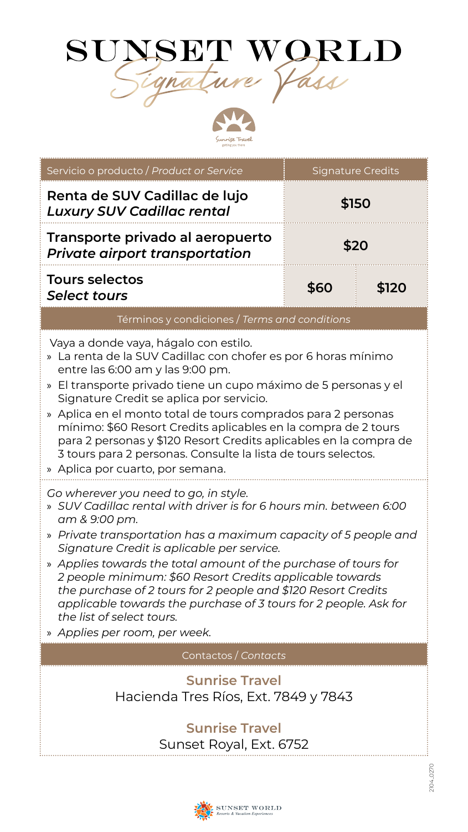



| Servicio o producto / Product or Service                                                                                                                                                                                                                                                                                                                                                                                                                                                                                                                                                                                                                                                                                                                                                                                                                                                                                                                                                                                                                                                                                  | <b>Signature Credits</b> |         |  |  |  |  |
|---------------------------------------------------------------------------------------------------------------------------------------------------------------------------------------------------------------------------------------------------------------------------------------------------------------------------------------------------------------------------------------------------------------------------------------------------------------------------------------------------------------------------------------------------------------------------------------------------------------------------------------------------------------------------------------------------------------------------------------------------------------------------------------------------------------------------------------------------------------------------------------------------------------------------------------------------------------------------------------------------------------------------------------------------------------------------------------------------------------------------|--------------------------|---------|--|--|--|--|
| Renta de SUV Cadillac de lujo<br><b>Luxury SUV Cadillac rental</b>                                                                                                                                                                                                                                                                                                                                                                                                                                                                                                                                                                                                                                                                                                                                                                                                                                                                                                                                                                                                                                                        | \$150                    |         |  |  |  |  |
| Transporte privado al aeropuerto<br><b>Private airport transportation</b>                                                                                                                                                                                                                                                                                                                                                                                                                                                                                                                                                                                                                                                                                                                                                                                                                                                                                                                                                                                                                                                 | \$20                     |         |  |  |  |  |
| <b>Tours selectos</b><br><b>Select tours</b>                                                                                                                                                                                                                                                                                                                                                                                                                                                                                                                                                                                                                                                                                                                                                                                                                                                                                                                                                                                                                                                                              | \$60                     | \$120   |  |  |  |  |
| Términos y condiciones / Terms and conditions                                                                                                                                                                                                                                                                                                                                                                                                                                                                                                                                                                                                                                                                                                                                                                                                                                                                                                                                                                                                                                                                             |                          |         |  |  |  |  |
| Vaya a donde vaya, hágalo con estilo.<br>» La renta de la SUV Cadillac con chofer es por 6 horas mínimo<br>entre las 6:00 am y las 9:00 pm.<br>» El transporte privado tiene un cupo máximo de 5 personas y el<br>Signature Credit se aplica por servicio.<br>» Aplica en el monto total de tours comprados para 2 personas<br>mínimo: \$60 Resort Credits aplicables en la compra de 2 tours<br>para 2 personas y \$120 Resort Credits aplicables en la compra de<br>3 tours para 2 personas. Consulte la lista de tours selectos.<br>» Aplica por cuarto, por semana.<br>Go wherever you need to go, in style.<br>» SUV Cadillac rental with driver is for 6 hours min. between 6:00<br>am & 9:00 pm.<br>» Private transportation has a maximum capacity of 5 people and<br>Signature Credit is aplicable per service.<br>» Applies towards the total amount of the purchase of tours for<br>2 people minimum: \$60 Resort Credits applicable towards<br>the purchase of 2 tours for 2 people and \$120 Resort Credits<br>applicable towards the purchase of 3 tours for 2 people. Ask for<br>the list of select tours. |                          |         |  |  |  |  |
| » Applies per room, per week.                                                                                                                                                                                                                                                                                                                                                                                                                                                                                                                                                                                                                                                                                                                                                                                                                                                                                                                                                                                                                                                                                             |                          |         |  |  |  |  |
| Contactos / Co <i>ntdets</i>                                                                                                                                                                                                                                                                                                                                                                                                                                                                                                                                                                                                                                                                                                                                                                                                                                                                                                                                                                                                                                                                                              |                          |         |  |  |  |  |
| <b>Sunrise Travel</b><br>Hacienda Tres Ríos, Ext. 7849 y 7843                                                                                                                                                                                                                                                                                                                                                                                                                                                                                                                                                                                                                                                                                                                                                                                                                                                                                                                                                                                                                                                             |                          |         |  |  |  |  |
| <b>Sunrise Travel</b><br>Sunset Royal, Ext. 6752                                                                                                                                                                                                                                                                                                                                                                                                                                                                                                                                                                                                                                                                                                                                                                                                                                                                                                                                                                                                                                                                          |                          |         |  |  |  |  |
|                                                                                                                                                                                                                                                                                                                                                                                                                                                                                                                                                                                                                                                                                                                                                                                                                                                                                                                                                                                                                                                                                                                           |                          | 104_027 |  |  |  |  |

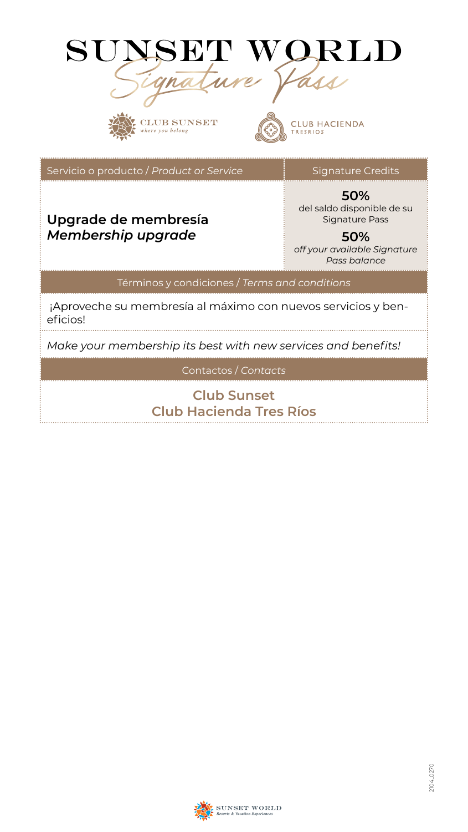

**Club Hacienda Tres Ríos**